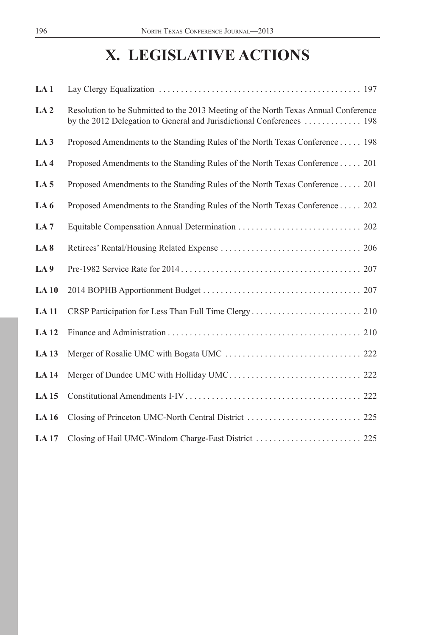# **X. LEGISLATIVE ACTIONS**

| LA1              |                                                                                                                                                              |
|------------------|--------------------------------------------------------------------------------------------------------------------------------------------------------------|
| LA <sub>2</sub>  | Resolution to be Submitted to the 2013 Meeting of the North Texas Annual Conference<br>by the 2012 Delegation to General and Jurisdictional Conferences  198 |
| LA3              | Proposed Amendments to the Standing Rules of the North Texas Conference 198                                                                                  |
| LA <sub>4</sub>  | Proposed Amendments to the Standing Rules of the North Texas Conference 201                                                                                  |
| LA <sub>5</sub>  | Proposed Amendments to the Standing Rules of the North Texas Conference 201                                                                                  |
| LA <sub>6</sub>  | Proposed Amendments to the Standing Rules of the North Texas Conference 202                                                                                  |
| LA7              |                                                                                                                                                              |
| LA <sub>8</sub>  |                                                                                                                                                              |
| LA 9             |                                                                                                                                                              |
| LA10             |                                                                                                                                                              |
| <b>LA11</b>      |                                                                                                                                                              |
| <b>LA12</b>      |                                                                                                                                                              |
| <b>LA13</b>      |                                                                                                                                                              |
| <b>LA</b> 14     |                                                                                                                                                              |
| LA <sub>15</sub> |                                                                                                                                                              |
| <b>LA16</b>      |                                                                                                                                                              |
| <b>LA17</b>      |                                                                                                                                                              |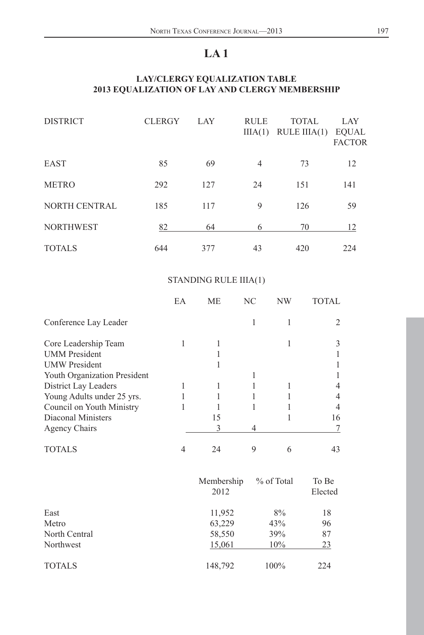# **LA 1**

# <span id="page-1-0"></span>**LAY/CLERGY EQUALIZATION TABLE 2013 EQUALIZATION OF LAY AND CLERGY MEMBERSHIP**

| <b>DISTRICT</b>  | <b>CLERGY</b> | LAY | <b>RULE</b><br>IIIA(1) | <b>TOTAL</b><br>RULE IIIA $(1)$ | <b>LAY</b><br><b>EQUAL</b><br><b>FACTOR</b> |
|------------------|---------------|-----|------------------------|---------------------------------|---------------------------------------------|
| EAST             | 85            | 69  | 4                      | 73                              | 12                                          |
| <b>METRO</b>     | 292           | 127 | 24                     | 151                             | 141                                         |
| NORTH CENTRAL    | 185           | 117 | 9                      | 126                             | 59                                          |
| <b>NORTHWEST</b> | 82            | 64  | 6                      | 70                              | 12                                          |
| <b>TOTALS</b>    | 644           | 377 | 43                     | 420                             | 224                                         |

# STANDING RULE IIIA(1)

|                              | EA | <b>ME</b>          | $\rm NC$ | NW         | TOTAL            |
|------------------------------|----|--------------------|----------|------------|------------------|
| Conference Lay Leader        |    |                    | 1        | 1          | $\overline{2}$   |
| Core Leadership Team         | 1  | 1                  |          | 1          | 3                |
| <b>UMM</b> President         |    | $\mathbf{1}$       |          |            | 1                |
| <b>UMW</b> President         |    | 1                  |          |            | 1                |
| Youth Organization President |    |                    | 1        |            | 1                |
| District Lay Leaders         | 1  | 1                  | 1        | 1          | $\overline{4}$   |
| Young Adults under 25 yrs.   | 1  | 1                  | 1        | 1          | 4                |
| Council on Youth Ministry    | 1  | 1                  | 1        | 1          | $\overline{4}$   |
| Diaconal Ministers           |    | 15                 |          | 1          | 16               |
| <b>Agency Chairs</b>         |    | 3                  | 4        |            | 7                |
| <b>TOTALS</b>                | 4  | 24                 | 9        | 6          | 43               |
|                              |    | Membership<br>2012 |          | % of Total | To Be<br>Elected |
| East                         |    | 11,952             |          | 8%         | 18               |
| Metro                        |    | 63,229             |          | 43%        | 96               |
| North Central                |    | 58,550             |          | 39%        | 87               |
| Northwest                    |    | <u>15,061</u>      |          | 10%        | 23               |
| <b>TOTALS</b>                |    | 148,792            |          | 100%       | 224              |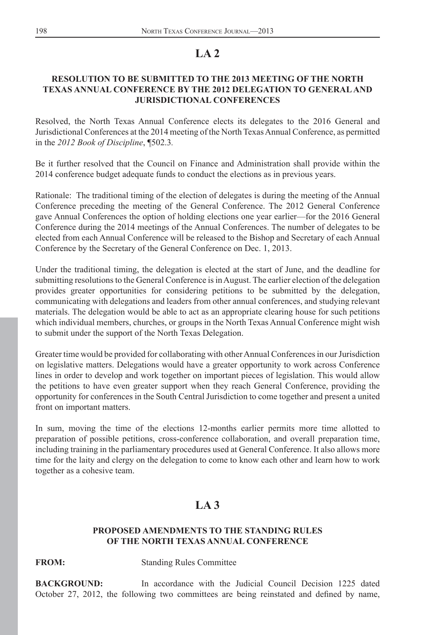# **LA 2**

# <span id="page-2-0"></span>**RESOLUTION TO BE SUBMITTED TO THE 2013 MEETING OF THE NORTH TEXAS ANNUAL CONFERENCE BY THE 2012 DELEGATION TO GENERAL AND JURISDICTIONAL CONFERENCES**

Resolved, the North Texas Annual Conference elects its delegates to the 2016 General and Jurisdictional Conferences at the 2014 meeting of the North Texas Annual Conference, as permitted in the *2012 Book of Discipline*, ¶502.3*.*

Be it further resolved that the Council on Finance and Administration shall provide within the 2014 conference budget adequate funds to conduct the elections as in previous years.

Rationale: The traditional timing of the election of delegates is during the meeting of the Annual Conference preceding the meeting of the General Conference. The 2012 General Conference gave Annual Conferences the option of holding elections one year earlier—for the 2016 General Conference during the 2014 meetings of the Annual Conferences. The number of delegates to be elected from each Annual Conference will be released to the Bishop and Secretary of each Annual Conference by the Secretary of the General Conference on Dec. 1, 2013.

Under the traditional timing, the delegation is elected at the start of June, and the deadline for submitting resolutions to the General Conference is in August. The earlier election of the delegation provides greater opportunities for considering petitions to be submitted by the delegation, communicating with delegations and leaders from other annual conferences, and studying relevant materials. The delegation would be able to act as an appropriate clearing house for such petitions which individual members, churches, or groups in the North Texas Annual Conference might wish to submit under the support of the North Texas Delegation.

Greater time would be provided for collaborating with other Annual Conferences in our Jurisdiction on legislative matters. Delegations would have a greater opportunity to work across Conference lines in order to develop and work together on important pieces of legislation. This would allow the petitions to have even greater support when they reach General Conference, providing the opportunity for conferences in the South Central Jurisdiction to come together and present a united front on important matters.

In sum, moving the time of the elections 12-months earlier permits more time allotted to preparation of possible petitions, cross-conference collaboration, and overall preparation time, including training in the parliamentary procedures used at General Conference. It also allows more time for the laity and clergy on the delegation to come to know each other and learn how to work together as a cohesive team.

# **LA 3**

### **PROPOSED AMENDMENTS TO THE STANDING RULES OF THE NORTH TEXAS ANNUAL CONFERENCE**

**FROM:** Standing Rules Committee

**BACKGROUND:** In accordance with the Judicial Council Decision 1225 dated October 27, 2012, the following two committees are being reinstated and defined by name,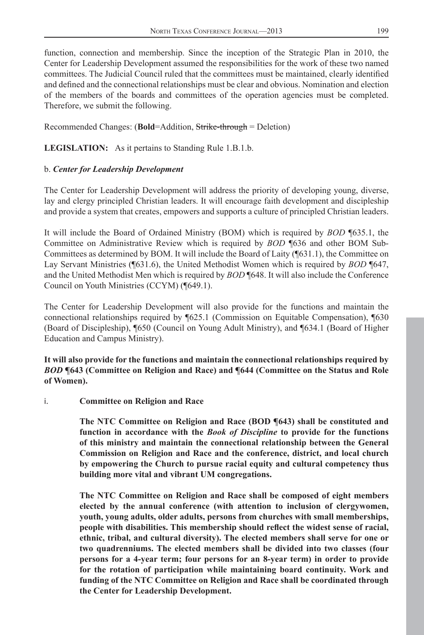function, connection and membership. Since the inception of the Strategic Plan in 2010, the Center for Leadership Development assumed the responsibilities for the work of these two named committees. The Judicial Council ruled that the committees must be maintained, clearly identified and defined and the connectional relationships must be clear and obvious. Nomination and election of the members of the boards and committees of the operation agencies must be completed. Therefore, we submit the following.

Recommended Changes: (**Bold**=Addition, Strike-through = Deletion)

**LEGISLATION:** As it pertains to Standing Rule 1.B.1.b.

# b. *Center for Leadership Development*

The Center for Leadership Development will address the priority of developing young, diverse, lay and clergy principled Christian leaders. It will encourage faith development and discipleship and provide a system that creates, empowers and supports a culture of principled Christian leaders.

It will include the Board of Ordained Ministry (BOM) which is required by *BOD* ¶635.1, the Committee on Administrative Review which is required by *BOD* ¶636 and other BOM Sub-Committees as determined by BOM. It will include the Board of Laity (¶631.1), the Committee on Lay Servant Ministries (¶631.6), the United Methodist Women which is required by *BOD* ¶647, and the United Methodist Men which is required by *BOD* ¶648. It will also include the Conference Council on Youth Ministries (CCYM) (¶649.1).

The Center for Leadership Development will also provide for the functions and maintain the connectional relationships required by ¶625.1 (Commission on Equitable Compensation), ¶630 (Board of Discipleship), ¶650 (Council on Young Adult Ministry), and ¶634.1 (Board of Higher Education and Campus Ministry).

**It will also provide for the functions and maintain the connectional relationships required by**  *BOD* **¶643 (Committee on Religion and Race) and ¶644 (Committee on the Status and Role of Women).** 

# i. **Committee on Religion and Race**

**The NTC Committee on Religion and Race (BOD ¶643) shall be constituted and function in accordance with the** *Book of Discipline* **to provide for the functions of this ministry and maintain the connectional relationship between the General Commission on Religion and Race and the conference, district, and local church by empowering the Church to pursue racial equity and cultural competency thus building more vital and vibrant UM congregations.**

**The NTC Committee on Religion and Race shall be composed of eight members elected by the annual conference (with attention to inclusion of clergywomen, youth, young adults, older adults, persons from churches with small memberships,**  people with disabilities. This membership should reflect the widest sense of racial, **ethnic, tribal, and cultural diversity). The elected members shall serve for one or two quadrenniums. The elected members shall be divided into two classes (four persons for a 4-year term; four persons for an 8-year term) in order to provide for the rotation of participation while maintaining board continuity. Work and funding of the NTC Committee on Religion and Race shall be coordinated through the Center for Leadership Development.**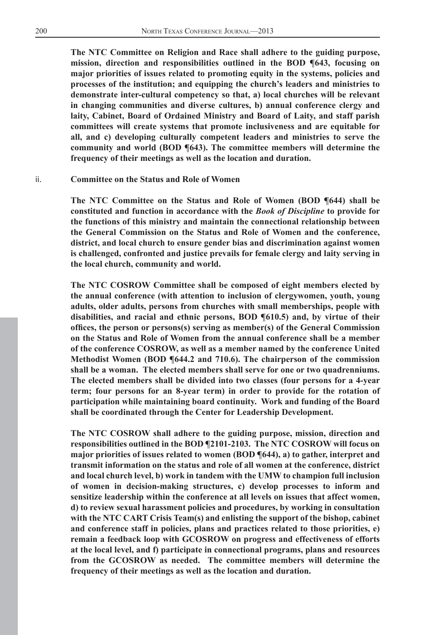**The NTC Committee on Religion and Race shall adhere to the guiding purpose, mission, direction and responsibilities outlined in the BOD ¶643, focusing on major priorities of issues related to promoting equity in the systems, policies and processes of the institution; and equipping the church's leaders and ministries to demonstrate inter-cultural competency so that, a) local churches will be relevant in changing communities and diverse cultures, b) annual conference clergy and laity, Cabinet, Board of Ordained Ministry and Board of Laity, and staff parish committees will create systems that promote inclusiveness and are equitable for all, and c) developing culturally competent leaders and ministries to serve the community and world (BOD ¶643). The committee members will determine the frequency of their meetings as well as the location and duration.** 

#### ii. **Committee on the Status and Role of Women**

**The NTC Committee on the Status and Role of Women (BOD ¶644) shall be constituted and function in accordance with the** *Book of Discipline* **to provide for the functions of this ministry and maintain the connectional relationship between the General Commission on the Status and Role of Women and the conference, district, and local church to ensure gender bias and discrimination against women is challenged, confronted and justice prevails for female clergy and laity serving in the local church, community and world.**

**The NTC COSROW Committee shall be composed of eight members elected by the annual conference (with attention to inclusion of clergywomen, youth, young adults, older adults, persons from churches with small memberships, people with disabilities, and racial and ethnic persons, BOD ¶610.5) and, by virtue of their offi ces, the person or persons(s) serving as member(s) of the General Commission on the Status and Role of Women from the annual conference shall be a member of the conference COSROW, as well as a member named by the conference United Methodist Women (BOD ¶644.2 and 710.6). The chairperson of the commission shall be a woman. The elected members shall serve for one or two quadrenniums. The elected members shall be divided into two classes (four persons for a 4-year term; four persons for an 8-year term) in order to provide for the rotation of participation while maintaining board continuity. Work and funding of the Board shall be coordinated through the Center for Leadership Development.**

**The NTC COSROW shall adhere to the guiding purpose, mission, direction and responsibilities outlined in the BOD ¶2101-2103. The NTC COSROW will focus on major priorities of issues related to women (BOD ¶644), a) to gather, interpret and transmit information on the status and role of all women at the conference, district and local church level, b) work in tandem with the UMW to champion full inclusion of women in decision-making structures, c) develop processes to inform and sensitize leadership within the conference at all levels on issues that affect women, d) to review sexual harassment policies and procedures, by working in consultation with the NTC CART Crisis Team(s) and enlisting the support of the bishop, cabinet and conference staff in policies, plans and practices related to those priorities, e) remain a feedback loop with GCOSROW on progress and effectiveness of efforts at the local level, and f) participate in connectional programs, plans and resources from the GCOSROW as needed. The committee members will determine the frequency of their meetings as well as the location and duration.**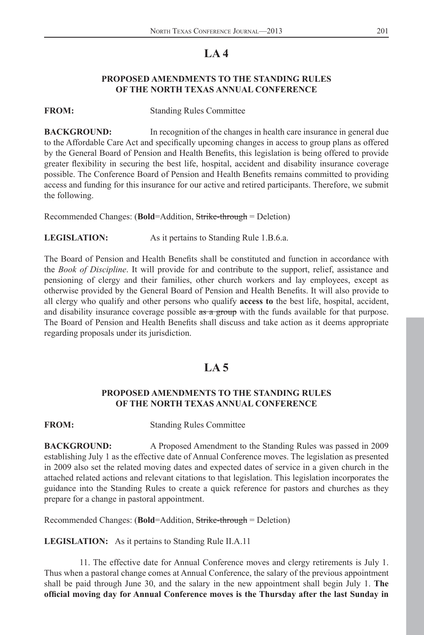# **LA 4**

## **PROPOSED AMENDMENTS TO THE STANDING RULES OF THE NORTH TEXAS ANNUAL CONFERENCE**

<span id="page-5-0"></span>

**FROM:** Standing Rules Committee

**BACKGROUND:** In recognition of the changes in health care insurance in general due to the Affordable Care Act and specifically upcoming changes in access to group plans as offered by the General Board of Pension and Health Benefits, this legislation is being offered to provide greater flexibility in securing the best life, hospital, accident and disability insurance coverage possible. The Conference Board of Pension and Health Benefits remains committed to providing access and funding for this insurance for our active and retired participants. Therefore, we submit the following.

Recommended Changes: (**Bold**=Addition, Strike-through = Deletion)

**LEGISLATION:** As it pertains to Standing Rule 1.B.6.a.

The Board of Pension and Health Benefits shall be constituted and function in accordance with the *Book of Discipline*. It will provide for and contribute to the support, relief, assistance and pensioning of clergy and their families, other church workers and lay employees, except as otherwise provided by the General Board of Pension and Health Benefits. It will also provide to all clergy who qualify and other persons who qualify **access to** the best life, hospital, accident, and disability insurance coverage possible as a group with the funds available for that purpose. The Board of Pension and Health Benefits shall discuss and take action as it deems appropriate regarding proposals under its jurisdiction.

# **LA 5**

# **PROPOSED AMENDMENTS TO THE STANDING RULES OF THE NORTH TEXAS ANNUAL CONFERENCE**

**FROM:** Standing Rules Committee

**BACKGROUND:** A Proposed Amendment to the Standing Rules was passed in 2009 establishing July 1 as the effective date of Annual Conference moves. The legislation as presented in 2009 also set the related moving dates and expected dates of service in a given church in the attached related actions and relevant citations to that legislation. This legislation incorporates the guidance into the Standing Rules to create a quick reference for pastors and churches as they prepare for a change in pastoral appointment.

Recommended Changes: (**Bold**=Addition, Strike-through = Deletion)

**LEGISLATION:** As it pertains to Standing Rule II.A.11

11. The effective date for Annual Conference moves and clergy retirements is July 1. Thus when a pastoral change comes at Annual Conference, the salary of the previous appointment shall be paid through June 30, and the salary in the new appointment shall begin July 1. **The**  official moving day for Annual Conference moves is the Thursday after the last Sunday in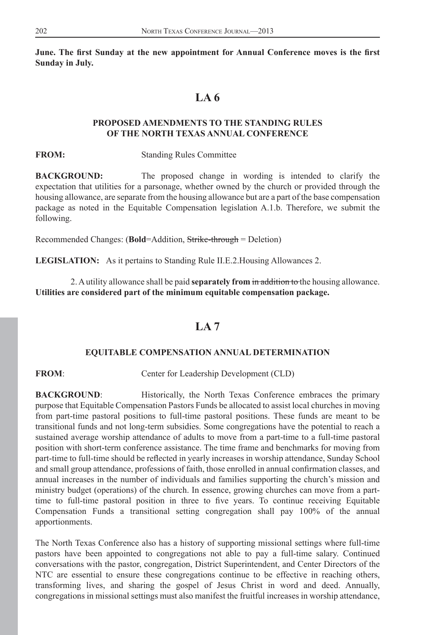<span id="page-6-0"></span>June. The first Sunday at the new appointment for Annual Conference moves is the first **Sunday in July.**

# **LA 6**

### **PROPOSED AMENDMENTS TO THE STANDING RULES OF THE NORTH TEXAS ANNUAL CONFERENCE**

**FROM:** Standing Rules Committee

**BACKGROUND:** The proposed change in wording is intended to clarify the expectation that utilities for a parsonage, whether owned by the church or provided through the housing allowance, are separate from the housing allowance but are a part of the base compensation package as noted in the Equitable Compensation legislation A.1.b. Therefore, we submit the following.

Recommended Changes: (**Bold**=Addition, Strike-through = Deletion)

**LEGISLATION:** As it pertains to Standing Rule II.E.2.Housing Allowances 2.

2. A utility allowance shall be paid **separately from** in addition to the housing allowance. **Utilities are considered part of the minimum equitable compensation package.**

# **LA 7**

#### **EQUITABLE COMPENSATION ANNUAL DETERMINATION**

**FROM:** Center for Leadership Development (CLD)

**BACKGROUND:** Historically, the North Texas Conference embraces the primary purpose that Equitable Compensation Pastors Funds be allocated to assist local churches in moving from part-time pastoral positions to full-time pastoral positions. These funds are meant to be transitional funds and not long-term subsidies. Some congregations have the potential to reach a sustained average worship attendance of adults to move from a part-time to a full-time pastoral position with short-term conference assistance. The time frame and benchmarks for moving from part-time to full-time should be reflected in yearly increases in worship attendance, Sunday School and small group attendance, professions of faith, those enrolled in annual confirmation classes, and annual increases in the number of individuals and families supporting the church's mission and ministry budget (operations) of the church. In essence, growing churches can move from a parttime to full-time pastoral position in three to five years. To continue receiving Equitable Compensation Funds a transitional setting congregation shall pay 100% of the annual apportionments.

The North Texas Conference also has a history of supporting missional settings where full-time pastors have been appointed to congregations not able to pay a full-time salary. Continued conversations with the pastor, congregation, District Superintendent, and Center Directors of the NTC are essential to ensure these congregations continue to be effective in reaching others, transforming lives, and sharing the gospel of Jesus Christ in word and deed. Annually, congregations in missional settings must also manifest the fruitful increases in worship attendance,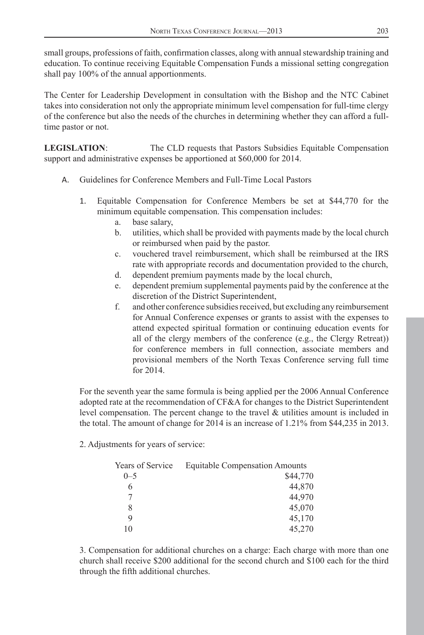small groups, professions of faith, confirmation classes, along with annual stewardship training and education. To continue receiving Equitable Compensation Funds a missional setting congregation shall pay 100% of the annual apportionments.

The Center for Leadership Development in consultation with the Bishop and the NTC Cabinet takes into consideration not only the appropriate minimum level compensation for full-time clergy of the conference but also the needs of the churches in determining whether they can afford a fulltime pastor or not.

**LEGISLATION**: The CLD requests that Pastors Subsidies Equitable Compensation support and administrative expenses be apportioned at \$60,000 for 2014.

- A. Guidelines for Conference Members and Full-Time Local Pastors
	- 1. Equitable Compensation for Conference Members be set at \$44,770 for the minimum equitable compensation. This compensation includes:
		- a. base salary,
		- b. utilities, which shall be provided with payments made by the local church or reimbursed when paid by the pastor.
		- c. vouchered travel reimbursement, which shall be reimbursed at the IRS rate with appropriate records and documentation provided to the church,
		- d. dependent premium payments made by the local church,
		- e. dependent premium supplemental payments paid by the conference at the discretion of the District Superintendent,
		- f. and other conference subsidies received, but excluding any reimbursement for Annual Conference expenses or grants to assist with the expenses to attend expected spiritual formation or continuing education events for all of the clergy members of the conference (e.g., the Clergy Retreat)) for conference members in full connection, associate members and provisional members of the North Texas Conference serving full time for 2014.

For the seventh year the same formula is being applied per the 2006 Annual Conference adopted rate at the recommendation of CF&A for changes to the District Superintendent level compensation. The percent change to the travel & utilities amount is included in the total. The amount of change for 2014 is an increase of 1.21% from \$44,235 in 2013.

2. Adjustments for years of service:

| <b>Equitable Compensation Amounts</b> |
|---------------------------------------|
| \$44,770                              |
| 44,870                                |
| 44.970                                |
| 45,070                                |
| 45,170                                |
| 45,270                                |
|                                       |

3. Compensation for additional churches on a charge: Each charge with more than one church shall receive \$200 additional for the second church and \$100 each for the third through the fifth additional churches.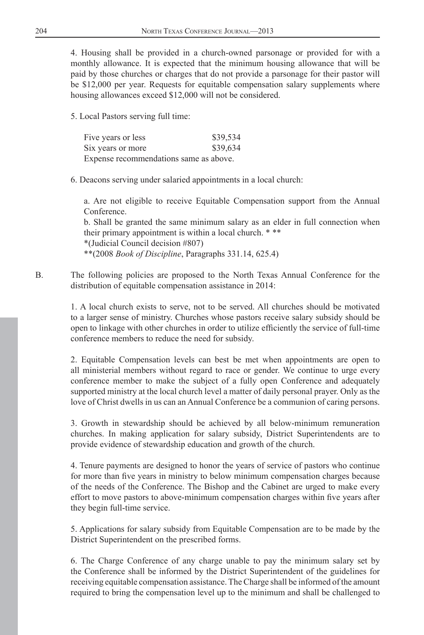4. Housing shall be provided in a church-owned parsonage or provided for with a monthly allowance. It is expected that the minimum housing allowance that will be paid by those churches or charges that do not provide a parsonage for their pastor will be \$12,000 per year. Requests for equitable compensation salary supplements where housing allowances exceed \$12,000 will not be considered.

5. Local Pastors serving full time:

| Five years or less                     | \$39,534 |
|----------------------------------------|----------|
| Six years or more                      | \$39,634 |
| Expense recommendations same as above. |          |

6. Deacons serving under salaried appointments in a local church:

a. Are not eligible to receive Equitable Compensation support from the Annual Conference.

b. Shall be granted the same minimum salary as an elder in full connection when their primary appointment is within a local church. \* \*\*

\*(Judicial Council decision #807)

\*\*(2008 *Book of Discipline*, Paragraphs 331.14, 625.4)

B. The following policies are proposed to the North Texas Annual Conference for the distribution of equitable compensation assistance in 2014:

> 1. A local church exists to serve, not to be served. All churches should be motivated to a larger sense of ministry. Churches whose pastors receive salary subsidy should be open to linkage with other churches in order to utilize efficiently the service of full-time conference members to reduce the need for subsidy.

> 2. Equitable Compensation levels can best be met when appointments are open to all ministerial members without regard to race or gender. We continue to urge every conference member to make the subject of a fully open Conference and adequately supported ministry at the local church level a matter of daily personal prayer. Only as the love of Christ dwells in us can an Annual Conference be a communion of caring persons.

> 3. Growth in stewardship should be achieved by all below-minimum remuneration churches. In making application for salary subsidy, District Superintendents are to provide evidence of stewardship education and growth of the church.

> 4. Tenure payments are designed to honor the years of service of pastors who continue for more than five years in ministry to below minimum compensation charges because of the needs of the Conference. The Bishop and the Cabinet are urged to make every effort to move pastors to above-minimum compensation charges within five years after they begin full-time service.

> 5. Applications for salary subsidy from Equitable Compensation are to be made by the District Superintendent on the prescribed forms.

> 6. The Charge Conference of any charge unable to pay the minimum salary set by the Conference shall be informed by the District Superintendent of the guidelines for receiving equitable compensation assistance. The Charge shall be informed of the amount required to bring the compensation level up to the minimum and shall be challenged to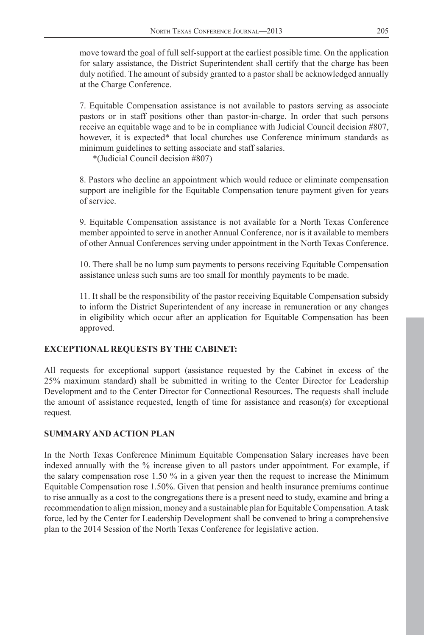move toward the goal of full self-support at the earliest possible time. On the application for salary assistance, the District Superintendent shall certify that the charge has been duly notified. The amount of subsidy granted to a pastor shall be acknowledged annually at the Charge Conference.

7. Equitable Compensation assistance is not available to pastors serving as associate pastors or in staff positions other than pastor-in-charge. In order that such persons receive an equitable wage and to be in compliance with Judicial Council decision #807, however, it is expected<sup>\*</sup> that local churches use Conference minimum standards as minimum guidelines to setting associate and staff salaries.

\*(Judicial Council decision #807)

8. Pastors who decline an appointment which would reduce or eliminate compensation support are ineligible for the Equitable Compensation tenure payment given for years of service.

9. Equitable Compensation assistance is not available for a North Texas Conference member appointed to serve in another Annual Conference, nor is it available to members of other Annual Conferences serving under appointment in the North Texas Conference.

10. There shall be no lump sum payments to persons receiving Equitable Compensation assistance unless such sums are too small for monthly payments to be made.

11. It shall be the responsibility of the pastor receiving Equitable Compensation subsidy to inform the District Superintendent of any increase in remuneration or any changes in eligibility which occur after an application for Equitable Compensation has been approved.

### **EXCEPTIONAL REQUESTS BY THE CABINET:**

All requests for exceptional support (assistance requested by the Cabinet in excess of the 25% maximum standard) shall be submitted in writing to the Center Director for Leadership Development and to the Center Director for Connectional Resources. The requests shall include the amount of assistance requested, length of time for assistance and reason(s) for exceptional request.

### **SUMMARY AND ACTION PLAN**

In the North Texas Conference Minimum Equitable Compensation Salary increases have been indexed annually with the % increase given to all pastors under appointment. For example, if the salary compensation rose 1.50 % in a given year then the request to increase the Minimum Equitable Compensation rose 1.50%. Given that pension and health insurance premiums continue to rise annually as a cost to the congregations there is a present need to study, examine and bring a recommendation to align mission, money and a sustainable plan for Equitable Compensation. A task force, led by the Center for Leadership Development shall be convened to bring a comprehensive plan to the 2014 Session of the North Texas Conference for legislative action.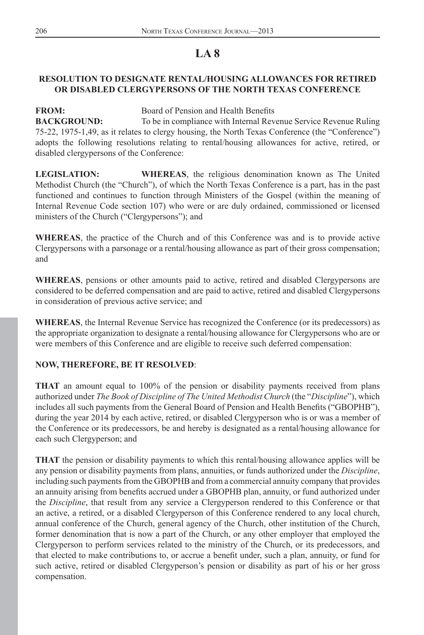# **LA 8**

# <span id="page-10-0"></span>**RESOLUTION TO DESIGNATE RENTAL/HOUSING ALLOWANCES FOR RETIRED OR DISABLED CLERGYPERSONS OF THE NORTH TEXAS CONFERENCE**

**FROM: Board of Pension and Health Benefits BACKGROUND:** To be in compliance with Internal Revenue Service Revenue Ruling 75-22, 1975-1,49, as it relates to clergy housing, the North Texas Conference (the "Conference") adopts the following resolutions relating to rental/housing allowances for active, retired, or disabled clergypersons of the Conference:

**LEGISLATION: WHEREAS**, the religious denomination known as The United Methodist Church (the "Church"), of which the North Texas Conference is a part, has in the past functioned and continues to function through Ministers of the Gospel (within the meaning of Internal Revenue Code section 107) who were or are duly ordained, commissioned or licensed ministers of the Church ("Clergypersons"); and

**WHEREAS**, the practice of the Church and of this Conference was and is to provide active Clergypersons with a parsonage or a rental/housing allowance as part of their gross compensation; and

**WHEREAS**, pensions or other amounts paid to active, retired and disabled Clergypersons are considered to be deferred compensation and are paid to active, retired and disabled Clergypersons in consideration of previous active service; and

**WHEREAS**, the Internal Revenue Service has recognized the Conference (or its predecessors) as the appropriate organization to designate a rental/housing allowance for Clergypersons who are or were members of this Conference and are eligible to receive such deferred compensation:

# **NOW, THEREFORE, BE IT RESOLVED**:

**THAT** an amount equal to 100% of the pension or disability payments received from plans authorized under *The Book of Discipline of The United Methodist Church* (the "*Discipline*"), which includes all such payments from the General Board of Pension and Health Benefits ("GBOPHB"), during the year 2014 by each active, retired, or disabled Clergyperson who is or was a member of the Conference or its predecessors, be and hereby is designated as a rental/housing allowance for each such Clergyperson; and

**THAT** the pension or disability payments to which this rental/housing allowance applies will be any pension or disability payments from plans, annuities, or funds authorized under the *Discipline*, including such payments from the GBOPHB and from a commercial annuity company that provides an annuity arising from benefits accrued under a GBOPHB plan, annuity, or fund authorized under the *Discipline*, that result from any service a Clergyperson rendered to this Conference or that an active, a retired, or a disabled Clergyperson of this Conference rendered to any local church, annual conference of the Church, general agency of the Church, other institution of the Church, former denomination that is now a part of the Church, or any other employer that employed the Clergyperson to perform services related to the ministry of the Church, or its predecessors, and that elected to make contributions to, or accrue a benefit under, such a plan, annuity, or fund for such active, retired or disabled Clergyperson's pension or disability as part of his or her gross compensation.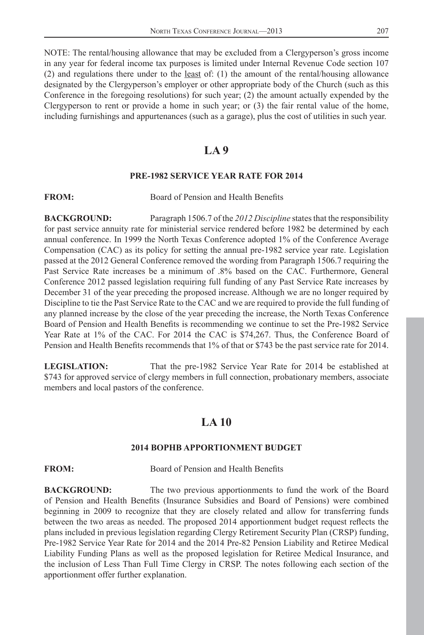<span id="page-11-0"></span>NOTE: The rental/housing allowance that may be excluded from a Clergyperson's gross income in any year for federal income tax purposes is limited under Internal Revenue Code section 107 (2) and regulations there under to the least of: (1) the amount of the rental/housing allowance designated by the Clergyperson's employer or other appropriate body of the Church (such as this Conference in the foregoing resolutions) for such year; (2) the amount actually expended by the Clergyperson to rent or provide a home in such year; or  $(3)$  the fair rental value of the home, including furnishings and appurtenances (such as a garage), plus the cost of utilities in such year.

# **LA 9**

#### **PRE-1982 SERVICE YEAR RATE FOR 2014**

## **FROM:** Board of Pension and Health Benefits

**BACKGROUND:** Paragraph 1506.7 of the *2012 Discipline* states that the responsibility for past service annuity rate for ministerial service rendered before 1982 be determined by each annual conference. In 1999 the North Texas Conference adopted 1% of the Conference Average Compensation (CAC) as its policy for setting the annual pre-1982 service year rate. Legislation passed at the 2012 General Conference removed the wording from Paragraph 1506.7 requiring the Past Service Rate increases be a minimum of .8% based on the CAC. Furthermore, General Conference 2012 passed legislation requiring full funding of any Past Service Rate increases by December 31 of the year preceding the proposed increase. Although we are no longer required by Discipline to tie the Past Service Rate to the CAC and we are required to provide the full funding of any planned increase by the close of the year preceding the increase, the North Texas Conference Board of Pension and Health Benefits is recommending we continue to set the Pre-1982 Service Year Rate at 1% of the CAC. For 2014 the CAC is \$74,267. Thus, the Conference Board of Pension and Health Benefits recommends that 1% of that or \$743 be the past service rate for 2014.

**LEGISLATION:** That the pre-1982 Service Year Rate for 2014 be established at \$743 for approved service of clergy members in full connection, probationary members, associate members and local pastors of the conference.

# **LA 10**

### **2014 BOPHB APPORTIONMENT BUDGET**

**FROM:** Board of Pension and Health Benefits

**BACKGROUND:** The two previous apportionments to fund the work of the Board of Pension and Health Benefits (Insurance Subsidies and Board of Pensions) were combined beginning in 2009 to recognize that they are closely related and allow for transferring funds between the two areas as needed. The proposed 2014 apportionment budget request reflects the plans included in previous legislation regarding Clergy Retirement Security Plan (CRSP) funding, Pre-1982 Service Year Rate for 2014 and the 2014 Pre-82 Pension Liability and Retiree Medical Liability Funding Plans as well as the proposed legislation for Retiree Medical Insurance, and the inclusion of Less Than Full Time Clergy in CRSP. The notes following each section of the apportionment offer further explanation.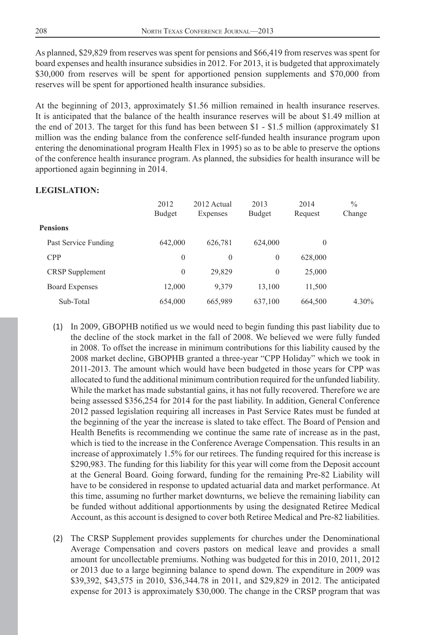As planned, \$29,829 from reserves was spent for pensions and \$66,419 from reserves was spent for board expenses and health insurance subsidies in 2012. For 2013, it is budgeted that approximately \$30,000 from reserves will be spent for apportioned pension supplements and \$70,000 from reserves will be spent for apportioned health insurance subsidies.

At the beginning of 2013, approximately \$1.56 million remained in health insurance reserves. It is anticipated that the balance of the health insurance reserves will be about \$1.49 million at the end of 2013. The target for this fund has been between \$1 - \$1.5 million (approximately \$1 million was the ending balance from the conference self-funded health insurance program upon entering the denominational program Health Flex in 1995) so as to be able to preserve the options of the conference health insurance program. As planned, the subsidies for health insurance will be apportioned again beginning in 2014.

#### **LEGISLATION:**

|                        | 2012<br>Budget | 2012 Actual<br>Expenses | 2013<br>Budget | 2014<br>Request | $\%$<br>Change |
|------------------------|----------------|-------------------------|----------------|-----------------|----------------|
| <b>Pensions</b>        |                |                         |                |                 |                |
| Past Service Funding   | 642,000        | 626,781                 | 624,000        | $\theta$        |                |
| <b>CPP</b>             | $\theta$       | $\theta$                | $\theta$       | 628,000         |                |
| <b>CRSP</b> Supplement | $\theta$       | 29,829                  | $\theta$       | 25,000          |                |
| <b>Board Expenses</b>  | 12,000         | 9,379                   | 13,100         | 11,500          |                |
| Sub-Total              | 654,000        | 665,989                 | 637,100        | 664,500         | $4.30\%$       |
|                        |                |                         |                |                 |                |

- (1) In 2009, GBOPHB notified us we would need to begin funding this past liability due to the decline of the stock market in the fall of 2008. We believed we were fully funded in 2008. To offset the increase in minimum contributions for this liability caused by the 2008 market decline, GBOPHB granted a three-year "CPP Holiday" which we took in 2011-2013. The amount which would have been budgeted in those years for CPP was allocated to fund the additional minimum contribution required for the unfunded liability. While the market has made substantial gains, it has not fully recovered. Therefore we are being assessed \$356,254 for 2014 for the past liability. In addition, General Conference 2012 passed legislation requiring all increases in Past Service Rates must be funded at the beginning of the year the increase is slated to take effect. The Board of Pension and Health Benefits is recommending we continue the same rate of increase as in the past, which is tied to the increase in the Conference Average Compensation. This results in an increase of approximately 1.5% for our retirees. The funding required for this increase is \$290,983. The funding for this liability for this year will come from the Deposit account at the General Board. Going forward, funding for the remaining Pre-82 Liability will have to be considered in response to updated actuarial data and market performance. At this time, assuming no further market downturns, we believe the remaining liability can be funded without additional apportionments by using the designated Retiree Medical Account, as this account is designed to cover both Retiree Medical and Pre-82 liabilities.
- (2) The CRSP Supplement provides supplements for churches under the Denominational Average Compensation and covers pastors on medical leave and provides a small amount for uncollectable premiums. Nothing was budgeted for this in 2010, 2011, 2012 or 2013 due to a large beginning balance to spend down. The expenditure in 2009 was \$39,392, \$43,575 in 2010, \$36,344.78 in 2011, and \$29,829 in 2012. The anticipated expense for 2013 is approximately \$30,000. The change in the CRSP program that was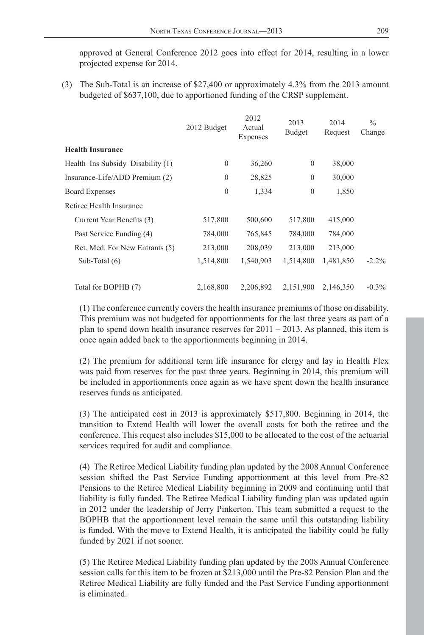approved at General Conference 2012 goes into effect for 2014, resulting in a lower projected expense for 2014.

(3) The Sub-Total is an increase of \$27,400 or approximately 4.3% from the 2013 amount budgeted of \$637,100, due to apportioned funding of the CRSP supplement.

|                                   | 2012 Budget | 2012<br>Actual<br>Expenses | 2013<br>Budget   | 2014<br>Request | $\frac{0}{0}$<br>Change |
|-----------------------------------|-------------|----------------------------|------------------|-----------------|-------------------------|
| <b>Health Insurance</b>           |             |                            |                  |                 |                         |
| Health Ins Subsidy–Disability (1) | $\theta$    | 36,260                     | $\mathbf{0}$     | 38,000          |                         |
| Insurance-Life/ADD Premium (2)    | $\theta$    | 28,825                     | $\theta$         | 30,000          |                         |
| <b>Board Expenses</b>             | $\theta$    | 1,334                      | $\boldsymbol{0}$ | 1,850           |                         |
| Retiree Health Insurance          |             |                            |                  |                 |                         |
| Current Year Benefits (3)         | 517,800     | 500,600                    | 517,800          | 415,000         |                         |
| Past Service Funding (4)          | 784,000     | 765,845                    | 784,000          | 784,000         |                         |
| Ret. Med. For New Entrants (5)    | 213,000     | 208,039                    | 213,000          | 213,000         |                         |
| Sub-Total $(6)$                   | 1,514,800   | 1,540,903                  | 1,514,800        | 1,481,850       | $-2.2%$                 |
| Total for BOPHB (7)               | 2,168,800   | 2,206,892                  | 2,151,900        | 2,146,350       | $-0.3\%$                |

(1) The conference currently covers the health insurance premiums of those on disability. This premium was not budgeted for apportionments for the last three years as part of a plan to spend down health insurance reserves for  $2011 - 2013$ . As planned, this item is once again added back to the apportionments beginning in 2014.

(2) The premium for additional term life insurance for clergy and lay in Health Flex was paid from reserves for the past three years. Beginning in 2014, this premium will be included in apportionments once again as we have spent down the health insurance reserves funds as anticipated.

(3) The anticipated cost in 2013 is approximately \$517,800. Beginning in 2014, the transition to Extend Health will lower the overall costs for both the retiree and the conference. This request also includes \$15,000 to be allocated to the cost of the actuarial services required for audit and compliance.

(4) The Retiree Medical Liability funding plan updated by the 2008 Annual Conference session shifted the Past Service Funding apportionment at this level from Pre-82 Pensions to the Retiree Medical Liability beginning in 2009 and continuing until that liability is fully funded. The Retiree Medical Liability funding plan was updated again in 2012 under the leadership of Jerry Pinkerton. This team submitted a request to the BOPHB that the apportionment level remain the same until this outstanding liability is funded. With the move to Extend Health, it is anticipated the liability could be fully funded by 2021 if not sooner.

(5) The Retiree Medical Liability funding plan updated by the 2008 Annual Conference session calls for this item to be frozen at \$213,000 until the Pre-82 Pension Plan and the Retiree Medical Liability are fully funded and the Past Service Funding apportionment is eliminated.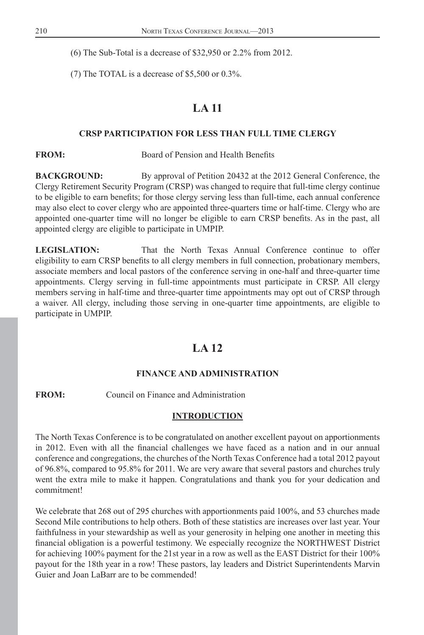<span id="page-14-0"></span>(6) The Sub-Total is a decrease of \$32,950 or 2.2% from 2012.

(7) The TOTAL is a decrease of \$5,500 or 0.3%.

# **LA 11**

### **CRSP PARTICIPATION FOR LESS THAN FULL TIME CLERGY**

**FROM:** Board of Pension and Health Benefits

**BACKGROUND:** By approval of Petition 20432 at the 2012 General Conference, the Clergy Retirement Security Program (CRSP) was changed to require that full-time clergy continue to be eligible to earn benefits; for those clergy serving less than full-time, each annual conference may also elect to cover clergy who are appointed three-quarters time or half-time. Clergy who are appointed one-quarter time will no longer be eligible to earn CRSP benefits. As in the past, all appointed clergy are eligible to participate in UMPIP.

**LEGISLATION:** That the North Texas Annual Conference continue to offer eligibility to earn CRSP benefits to all clergy members in full connection, probationary members, associate members and local pastors of the conference serving in one-half and three-quarter time appointments. Clergy serving in full-time appointments must participate in CRSP. All clergy members serving in half-time and three-quarter time appointments may opt out of CRSP through a waiver. All clergy, including those serving in one-quarter time appointments, are eligible to participate in UMPIP.

# **LA 12**

#### **FINANCE AND ADMINISTRATION**

**FROM:** Council on Finance and Administration

#### **INTRODUCTION**

The North Texas Conference is to be congratulated on another excellent payout on apportionments in 2012. Even with all the financial challenges we have faced as a nation and in our annual conference and congregations, the churches of the North Texas Conference had a total 2012 payout of 96.8%, compared to 95.8% for 2011. We are very aware that several pastors and churches truly went the extra mile to make it happen. Congratulations and thank you for your dedication and commitment!

We celebrate that 268 out of 295 churches with apportionments paid 100%, and 53 churches made Second Mile contributions to help others. Both of these statistics are increases over last year. Your faithfulness in your stewardship as well as your generosity in helping one another in meeting this financial obligation is a powerful testimony. We especially recognize the NORTHWEST District for achieving 100% payment for the 21st year in a row as well as the EAST District for their 100% payout for the 18th year in a row! These pastors, lay leaders and District Superintendents Marvin Guier and Joan LaBarr are to be commended!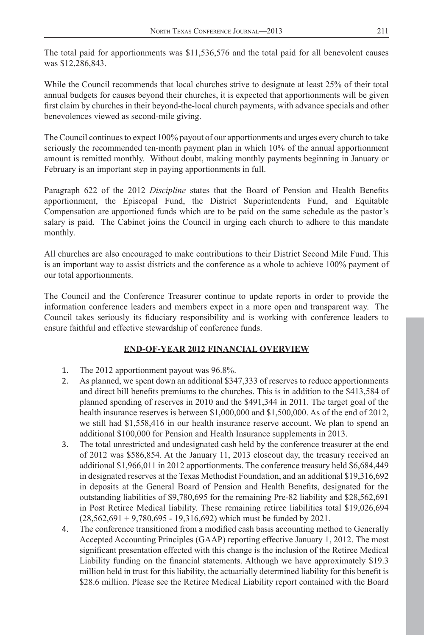The total paid for apportionments was \$11,536,576 and the total paid for all benevolent causes was \$12,286,843.

While the Council recommends that local churches strive to designate at least 25% of their total annual budgets for causes beyond their churches, it is expected that apportionments will be given first claim by churches in their beyond-the-local church payments, with advance specials and other benevolences viewed as second-mile giving.

The Council continues to expect 100% payout of our apportionments and urges every church to take seriously the recommended ten-month payment plan in which 10% of the annual apportionment amount is remitted monthly. Without doubt, making monthly payments beginning in January or February is an important step in paying apportionments in full.

Paragraph 622 of the 2012 *Discipline* states that the Board of Pension and Health Benefits apportionment, the Episcopal Fund, the District Superintendents Fund, and Equitable Compensation are apportioned funds which are to be paid on the same schedule as the pastor's salary is paid. The Cabinet joins the Council in urging each church to adhere to this mandate monthly.

All churches are also encouraged to make contributions to their District Second Mile Fund. This is an important way to assist districts and the conference as a whole to achieve 100% payment of our total apportionments.

The Council and the Conference Treasurer continue to update reports in order to provide the information conference leaders and members expect in a more open and transparent way. The Council takes seriously its fiduciary responsibility and is working with conference leaders to ensure faithful and effective stewardship of conference funds.

# **END-OF-YEAR 2012 FINANCIAL OVERVIEW**

- 1. The 2012 apportionment payout was 96.8%.
- 2. As planned, we spent down an additional \$347,333 of reserves to reduce apportionments and direct bill benefits premiums to the churches. This is in addition to the \$413,584 of planned spending of reserves in 2010 and the \$491,344 in 2011. The target goal of the health insurance reserves is between \$1,000,000 and \$1,500,000. As of the end of 2012, we still had \$1,558,416 in our health insurance reserve account. We plan to spend an additional \$100,000 for Pension and Health Insurance supplements in 2013.
- 3. The total unrestricted and undesignated cash held by the conference treasurer at the end of 2012 was \$586,854. At the January 11, 2013 closeout day, the treasury received an additional \$1,966,011 in 2012 apportionments. The conference treasury held \$6,684,449 in designated reserves at the Texas Methodist Foundation, and an additional \$19,316,692 in deposits at the General Board of Pension and Health Benefits, designated for the outstanding liabilities of \$9,780,695 for the remaining Pre-82 liability and \$28,562,691 in Post Retiree Medical liability. These remaining retiree liabilities total \$19,026,694  $(28,562,691 + 9,780,695 - 19,316,692)$  which must be funded by 2021.
- 4. The conference transitioned from a modified cash basis accounting method to Generally Accepted Accounting Principles (GAAP) reporting effective January 1, 2012. The most significant presentation effected with this change is the inclusion of the Retiree Medical Liability funding on the financial statements. Although we have approximately \$19.3 million held in trust for this liability, the actuarially determined liability for this benefit is \$28.6 million. Please see the Retiree Medical Liability report contained with the Board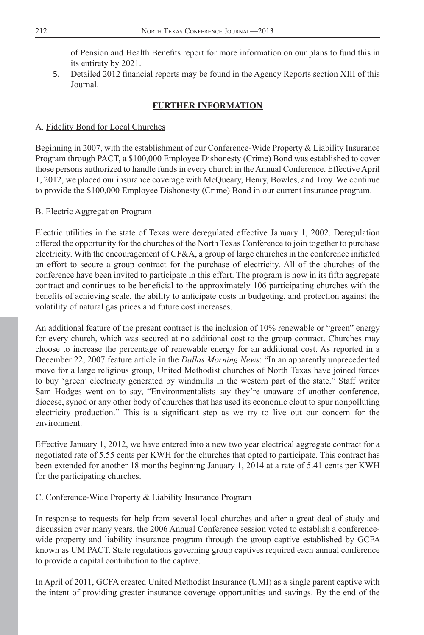of Pension and Health Benefits report for more information on our plans to fund this in its entirety by 2021.

5. Detailed 2012 financial reports may be found in the Agency Reports section XIII of this Journal.

# **FURTHER INFORMATION**

# A. Fidelity Bond for Local Churches

Beginning in 2007, with the establishment of our Conference-Wide Property & Liability Insurance Program through PACT, a \$100,000 Employee Dishonesty (Crime) Bond was established to cover those persons authorized to handle funds in every church in the Annual Conference. Effective April 1, 2012, we placed our insurance coverage with McQueary, Henry, Bowles, and Troy. We continue to provide the \$100,000 Employee Dishonesty (Crime) Bond in our current insurance program.

## B. Electric Aggregation Program

Electric utilities in the state of Texas were deregulated effective January 1, 2002. Deregulation offered the opportunity for the churches of the North Texas Conference to join together to purchase electricity. With the encouragement of CF&A, a group of large churches in the conference initiated an effort to secure a group contract for the purchase of electricity. All of the churches of the conference have been invited to participate in this effort. The program is now in its fifth aggregate contract and continues to be beneficial to the approximately 106 participating churches with the benefits of achieving scale, the ability to anticipate costs in budgeting, and protection against the volatility of natural gas prices and future cost increases.

An additional feature of the present contract is the inclusion of 10% renewable or "green" energy for every church, which was secured at no additional cost to the group contract. Churches may choose to increase the percentage of renewable energy for an additional cost. As reported in a December 22, 2007 feature article in the *Dallas Morning News*: "In an apparently unprecedented move for a large religious group, United Methodist churches of North Texas have joined forces to buy 'green' electricity generated by windmills in the western part of the state." Staff writer Sam Hodges went on to say, "Environmentalists say they're unaware of another conference, diocese, synod or any other body of churches that has used its economic clout to spur nonpolluting electricity production." This is a significant step as we try to live out our concern for the environment.

Effective January 1, 2012, we have entered into a new two year electrical aggregate contract for a negotiated rate of 5.55 cents per KWH for the churches that opted to participate. This contract has been extended for another 18 months beginning January 1, 2014 at a rate of 5.41 cents per KWH for the participating churches.

# C. Conference-Wide Property & Liability Insurance Program

In response to requests for help from several local churches and after a great deal of study and discussion over many years, the 2006 Annual Conference session voted to establish a conferencewide property and liability insurance program through the group captive established by GCFA known as UM PACT. State regulations governing group captives required each annual conference to provide a capital contribution to the captive.

In April of 2011, GCFA created United Methodist Insurance (UMI) as a single parent captive with the intent of providing greater insurance coverage opportunities and savings. By the end of the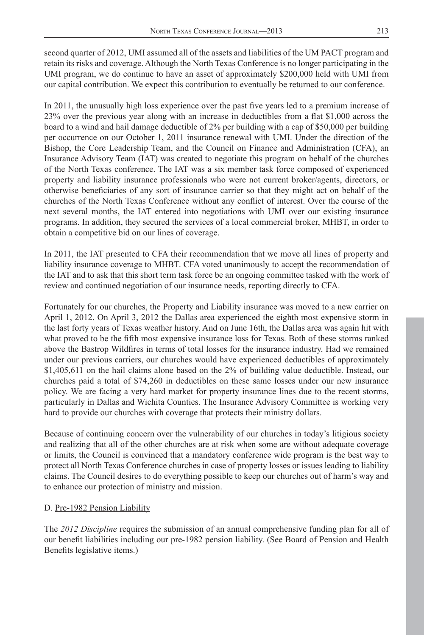second quarter of 2012, UMI assumed all of the assets and liabilities of the UM PACT program and retain its risks and coverage. Although the North Texas Conference is no longer participating in the UMI program, we do continue to have an asset of approximately \$200,000 held with UMI from our capital contribution. We expect this contribution to eventually be returned to our conference.

In 2011, the unusually high loss experience over the past five years led to a premium increase of 23% over the previous year along with an increase in deductibles from a flat \$1,000 across the board to a wind and hail damage deductible of 2% per building with a cap of \$50,000 per building per occurrence on our October 1, 2011 insurance renewal with UMI. Under the direction of the Bishop, the Core Leadership Team, and the Council on Finance and Administration (CFA), an Insurance Advisory Team (IAT) was created to negotiate this program on behalf of the churches of the North Texas conference. The IAT was a six member task force composed of experienced property and liability insurance professionals who were not current broker/agents, directors, or otherwise beneficiaries of any sort of insurance carrier so that they might act on behalf of the churches of the North Texas Conference without any conflict of interest. Over the course of the next several months, the IAT entered into negotiations with UMI over our existing insurance programs. In addition, they secured the services of a local commercial broker, MHBT, in order to obtain a competitive bid on our lines of coverage.

In 2011, the IAT presented to CFA their recommendation that we move all lines of property and liability insurance coverage to MHBT. CFA voted unanimously to accept the recommendation of the IAT and to ask that this short term task force be an ongoing committee tasked with the work of review and continued negotiation of our insurance needs, reporting directly to CFA.

Fortunately for our churches, the Property and Liability insurance was moved to a new carrier on April 1, 2012. On April 3, 2012 the Dallas area experienced the eighth most expensive storm in the last forty years of Texas weather history. And on June 16th, the Dallas area was again hit with what proved to be the fifth most expensive insurance loss for Texas. Both of these storms ranked above the Bastrop Wildfires in terms of total losses for the insurance industry. Had we remained under our previous carriers, our churches would have experienced deductibles of approximately \$1,405,611 on the hail claims alone based on the 2% of building value deductible. Instead, our churches paid a total of \$74,260 in deductibles on these same losses under our new insurance policy. We are facing a very hard market for property insurance lines due to the recent storms, particularly in Dallas and Wichita Counties. The Insurance Advisory Committee is working very hard to provide our churches with coverage that protects their ministry dollars.

Because of continuing concern over the vulnerability of our churches in today's litigious society and realizing that all of the other churches are at risk when some are without adequate coverage or limits, the Council is convinced that a mandatory conference wide program is the best way to protect all North Texas Conference churches in case of property losses or issues leading to liability claims. The Council desires to do everything possible to keep our churches out of harm's way and to enhance our protection of ministry and mission.

# D. Pre-1982 Pension Liability

The *2012 Discipline* requires the submission of an annual comprehensive funding plan for all of our benefit liabilities including our pre-1982 pension liability. (See Board of Pension and Health Benefits legislative items.)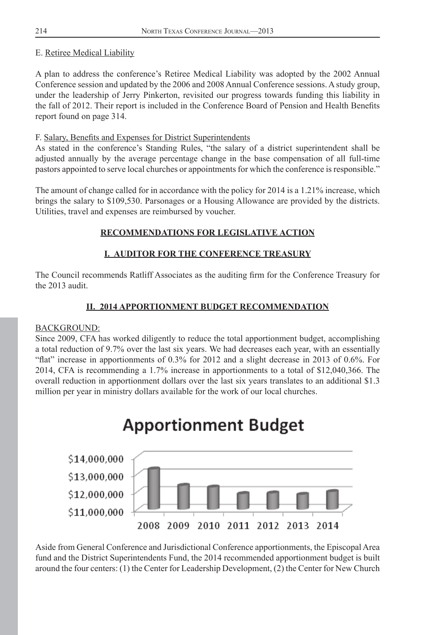# E. Retiree Medical Liability

A plan to address the conference's Retiree Medical Liability was adopted by the 2002 Annual Conference session and updated by the 2006 and 2008 Annual Conference sessions. A study group, under the leadership of Jerry Pinkerton, revisited our progress towards funding this liability in the fall of 2012. Their report is included in the Conference Board of Pension and Health Benefits report found on page 314.

# F. Salary, Benefits and Expenses for District Superintendents

As stated in the conference's Standing Rules, "the salary of a district superintendent shall be adjusted annually by the average percentage change in the base compensation of all full-time pastors appointed to serve local churches or appointments for which the conference is responsible."

The amount of change called for in accordance with the policy for 2014 is a 1.21% increase, which brings the salary to \$109,530. Parsonages or a Housing Allowance are provided by the districts. Utilities, travel and expenses are reimbursed by voucher.

# **RECOMMENDATIONS FOR LEGISLATIVE ACTION**

# **I. AUDITOR FOR THE CONFERENCE TREASURY**

The Council recommends Ratliff Associates as the auditing firm for the Conference Treasury for the 2013 audit.

# **II. 2014 APPORTIONMENT BUDGET RECOMMENDATION**

### BACKGROUND:

Since 2009, CFA has worked diligently to reduce the total apportionment budget, accomplishing a total reduction of 9.7% over the last six years. We had decreases each year, with an essentially "flat" increase in apportionments of  $0.3\%$  for 2012 and a slight decrease in 2013 of 0.6%. For 2014, CFA is recommending a 1.7% increase in apportionments to a total of \$12,040,366. The overall reduction in apportionment dollars over the last six years translates to an additional \$1.3 million per year in ministry dollars available for the work of our local churches.



Aside from General Conference and Jurisdictional Conference apportionments, the Episcopal Area fund and the District Superintendents Fund, the 2014 recommended apportionment budget is built around the four centers: (1) the Center for Leadership Development, (2) the Center for New Church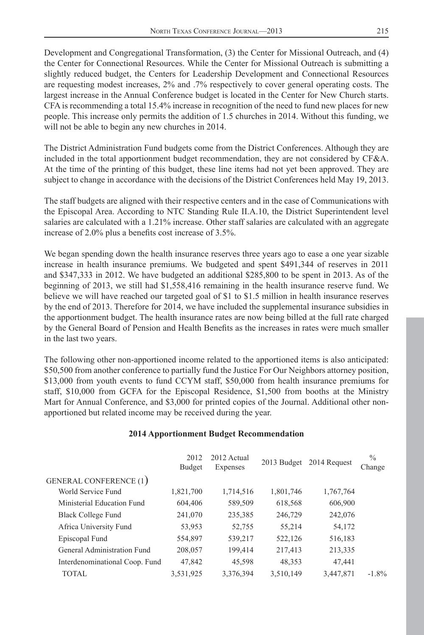Development and Congregational Transformation, (3) the Center for Missional Outreach, and (4) the Center for Connectional Resources. While the Center for Missional Outreach is submitting a slightly reduced budget, the Centers for Leadership Development and Connectional Resources are requesting modest increases, 2% and .7% respectively to cover general operating costs. The largest increase in the Annual Conference budget is located in the Center for New Church starts. CFA is recommending a total 15.4% increase in recognition of the need to fund new places for new people. This increase only permits the addition of 1.5 churches in 2014. Without this funding, we will not be able to begin any new churches in 2014.

The District Administration Fund budgets come from the District Conferences. Although they are included in the total apportionment budget recommendation, they are not considered by CF&A. At the time of the printing of this budget, these line items had not yet been approved. They are subject to change in accordance with the decisions of the District Conferences held May 19, 2013.

The staff budgets are aligned with their respective centers and in the case of Communications with the Episcopal Area. According to NTC Standing Rule II.A.10, the District Superintendent level salaries are calculated with a 1.21% increase. Other staff salaries are calculated with an aggregate increase of  $2.0\%$  plus a benefits cost increase of  $3.5\%$ .

We began spending down the health insurance reserves three years ago to ease a one year sizable increase in health insurance premiums. We budgeted and spent \$491,344 of reserves in 2011 and \$347,333 in 2012. We have budgeted an additional \$285,800 to be spent in 2013. As of the beginning of 2013, we still had \$1,558,416 remaining in the health insurance reserve fund. We believe we will have reached our targeted goal of \$1 to \$1.5 million in health insurance reserves by the end of 2013. Therefore for 2014, we have included the supplemental insurance subsidies in the apportionment budget. The health insurance rates are now being billed at the full rate charged by the General Board of Pension and Health Benefits as the increases in rates were much smaller in the last two years.

The following other non-apportioned income related to the apportioned items is also anticipated: \$50,500 from another conference to partially fund the Justice For Our Neighbors attorney position, \$13,000 from youth events to fund CCYM staff, \$50,000 from health insurance premiums for staff, \$10,000 from GCFA for the Episcopal Residence, \$1,500 from booths at the Ministry Mart for Annual Conference, and \$3,000 for printed copies of the Journal. Additional other nonapportioned but related income may be received during the year.

### **2014 Apportionment Budget Recommendation**

|                                | 2012<br>Budget | 2012 Actual<br>Expenses |           | 2013 Budget 2014 Request | $\%$<br>Change |
|--------------------------------|----------------|-------------------------|-----------|--------------------------|----------------|
| <b>GENERAL CONFERENCE (1)</b>  |                |                         |           |                          |                |
| World Service Fund             | 1,821,700      | 1,714,516               | 1,801,746 | 1,767,764                |                |
| Ministerial Education Fund     | 604,406        | 589,509                 | 618,568   | 606,900                  |                |
| Black College Fund             | 241,070        | 235,385                 | 246,729   | 242,076                  |                |
| Africa University Fund         | 53,953         | 52,755                  | 55,214    | 54,172                   |                |
| Episcopal Fund                 | 554,897        | 539,217                 | 522,126   | 516,183                  |                |
| General Administration Fund    | 208,057        | 199,414                 | 217,413   | 213,335                  |                |
| Interdenominational Coop. Fund | 47,842         | 45,598                  | 48,353    | 47,441                   |                |
| <b>TOTAL</b>                   | 3,531,925      | 3,376,394               | 3,510,149 | 3,447,871                | $-1.8\%$       |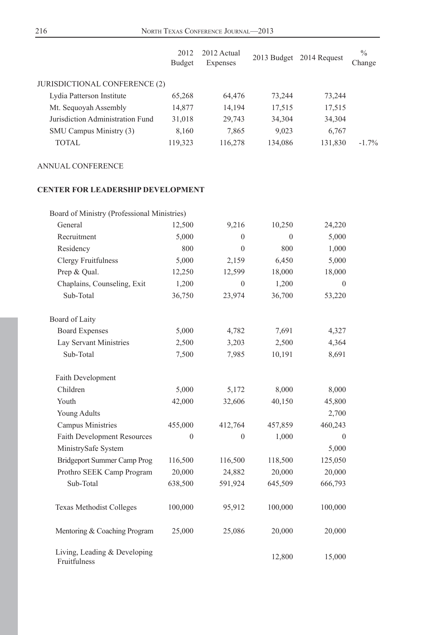|                                      | 2012<br>Budget | 2012 Actual<br>Expenses |         | 2013 Budget 2014 Request | $\%$<br>Change |
|--------------------------------------|----------------|-------------------------|---------|--------------------------|----------------|
| <b>JURISDICTIONAL CONFERENCE (2)</b> |                |                         |         |                          |                |
| Lydia Patterson Institute            | 65,268         | 64,476                  | 73,244  | 73,244                   |                |
| Mt. Sequoyah Assembly                | 14,877         | 14,194                  | 17,515  | 17,515                   |                |
| Jurisdiction Administration Fund     | 31,018         | 29,743                  | 34,304  | 34,304                   |                |
| SMU Campus Ministry (3)              | 8,160          | 7,865                   | 9,023   | 6,767                    |                |
| TOTAL                                | 119,323        | 116,278                 | 134,086 | 131,830                  | $-1.7\%$       |

## ANNUAL CONFERENCE

# **CENTER FOR LEADERSHIP DEVELOPMENT**

| Board of Ministry (Professional Ministries)  |              |                |          |              |
|----------------------------------------------|--------------|----------------|----------|--------------|
| General                                      | 12,500       | 9,216          | 10,250   | 24,220       |
| Recruitment                                  | 5,000        | $\theta$       | $\theta$ | 5,000        |
| Residency                                    | 800          | $\mathbf{0}$   | 800      | 1,000        |
| <b>Clergy Fruitfulness</b>                   | 5,000        | 2,159          | 6,450    | 5,000        |
| Prep & Qual.                                 | 12,250       | 12,599         | 18,000   | 18,000       |
| Chaplains, Counseling, Exit                  | 1,200        | $\theta$       | 1,200    | $\theta$     |
| Sub-Total                                    | 36,750       | 23,974         | 36,700   | 53,220       |
| Board of Laity                               |              |                |          |              |
| <b>Board Expenses</b>                        | 5,000        | 4,782          | 7,691    | 4,327        |
| Lay Servant Ministries                       | 2,500        | 3,203          | 2,500    | 4,364        |
| Sub-Total                                    | 7,500        | 7,985          | 10,191   | 8,691        |
| Faith Development                            |              |                |          |              |
| Children                                     | 5,000        | 5,172          | 8,000    | 8,000        |
| Youth                                        | 42,000       | 32,606         | 40,150   | 45,800       |
| <b>Young Adults</b>                          |              |                |          | 2,700        |
| Campus Ministries                            | 455,000      | 412,764        | 457,859  | 460,243      |
| <b>Faith Development Resources</b>           | $\mathbf{0}$ | $\overline{0}$ | 1,000    | $\mathbf{0}$ |
| MinistrySafe System                          |              |                |          | 5,000        |
| Bridgeport Summer Camp Prog                  | 116,500      | 116,500        | 118,500  | 125,050      |
| Prothro SEEK Camp Program                    | 20,000       | 24,882         | 20,000   | 20,000       |
| Sub-Total                                    | 638,500      | 591,924        | 645,509  | 666,793      |
| Texas Methodist Colleges                     | 100,000      | 95,912         | 100,000  | 100,000      |
| Mentoring & Coaching Program                 | 25,000       | 25,086         | 20,000   | 20,000       |
| Living, Leading & Developing<br>Fruitfulness |              |                | 12,800   | 15,000       |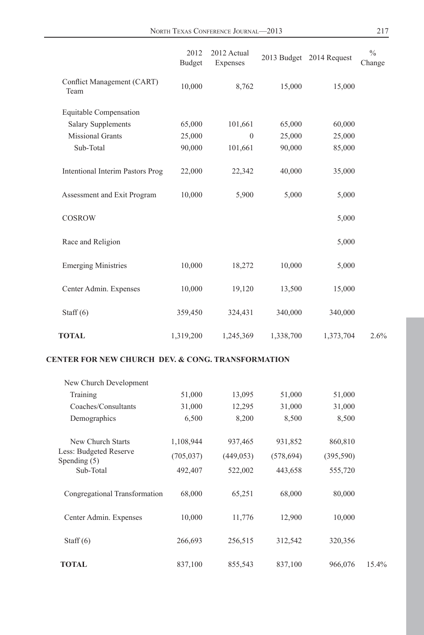|                                    | 2012<br>Budget | 2012 Actual<br>Expenses |           | 2013 Budget 2014 Request | $\frac{0}{0}$<br>Change |
|------------------------------------|----------------|-------------------------|-----------|--------------------------|-------------------------|
| Conflict Management (CART)<br>Team | 10,000         | 8,762                   | 15,000    | 15,000                   |                         |
| Equitable Compensation             |                |                         |           |                          |                         |
| <b>Salary Supplements</b>          | 65,000         | 101,661                 | 65,000    | 60,000                   |                         |
| <b>Missional Grants</b>            | 25,000         | $\mathbf{0}$            | 25,000    | 25,000                   |                         |
| Sub-Total                          | 90,000         | 101,661                 | 90,000    | 85,000                   |                         |
| Intentional Interim Pastors Prog   | 22,000         | 22,342                  | 40,000    | 35,000                   |                         |
| Assessment and Exit Program        | 10,000         | 5,900                   | 5,000     | 5,000                    |                         |
| <b>COSROW</b>                      |                |                         |           | 5,000                    |                         |
| Race and Religion                  |                |                         |           | 5,000                    |                         |
| <b>Emerging Ministries</b>         | 10,000         | 18,272                  | 10,000    | 5,000                    |                         |
| Center Admin. Expenses             | 10,000         | 19,120                  | 13,500    | 15,000                   |                         |
| Staff $(6)$                        | 359,450        | 324,431                 | 340,000   | 340,000                  |                         |
| <b>TOTAL</b>                       | 1,319,200      | 1,245,369               | 1,338,700 | 1,373,704                | 2.6%                    |

#### **CENTER FOR NEW CHURCH DEV. & CONG. TRANSFORMATION**

| New Church Development                   |            |            |            |            |       |
|------------------------------------------|------------|------------|------------|------------|-------|
| Training                                 | 51,000     | 13,095     | 51,000     | 51,000     |       |
| Coaches/Consultants                      | 31,000     | 12,295     | 31,000     | 31,000     |       |
| Demographics                             | 6,500      | 8,200      | 8,500      | 8,500      |       |
| New Church Starts                        | 1,108,944  | 937,465    | 931,852    | 860,810    |       |
| Less: Budgeted Reserve<br>Spending $(5)$ | (705, 037) | (449, 053) | (578, 694) | (395, 590) |       |
| Sub-Total                                | 492,407    | 522,002    | 443,658    | 555,720    |       |
| Congregational Transformation            | 68,000     | 65,251     | 68,000     | 80,000     |       |
| Center Admin. Expenses                   | 10,000     | 11,776     | 12,900     | 10,000     |       |
| Staff $(6)$                              | 266,693    | 256,515    | 312,542    | 320,356    |       |
| <b>TOTAL</b>                             | 837,100    | 855,543    | 837,100    | 966,076    | 15.4% |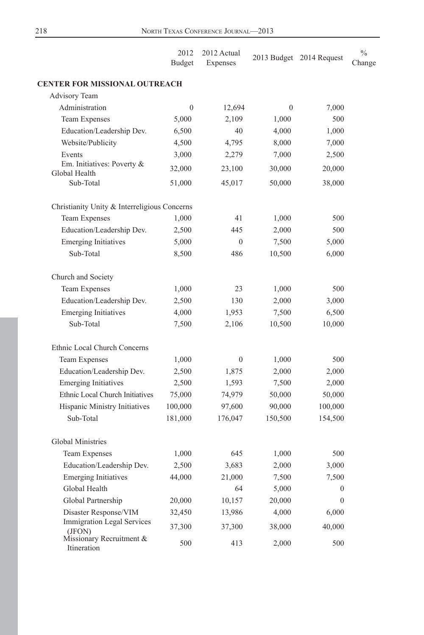|                                                | 2012<br><b>Budget</b> | 2012 Actual<br>Expenses |          | 2013 Budget 2014 Request | $\frac{0}{0}$<br>Change |
|------------------------------------------------|-----------------------|-------------------------|----------|--------------------------|-------------------------|
| <b>CENTER FOR MISSIONAL OUTREACH</b>           |                       |                         |          |                          |                         |
| <b>Advisory Team</b>                           |                       |                         |          |                          |                         |
| Administration                                 | $\theta$              | 12,694                  | $\theta$ | 7,000                    |                         |
| Team Expenses                                  | 5,000                 | 2,109                   | 1,000    | 500                      |                         |
| Education/Leadership Dev.                      | 6,500                 | 40                      | 4,000    | 1,000                    |                         |
| Website/Publicity                              | 4,500                 | 4,795                   | 8,000    | 7,000                    |                         |
| Events                                         | 3,000                 | 2,279                   | 7,000    | 2,500                    |                         |
| Em. Initiatives: Poverty $\&$<br>Global Health | 32,000                | 23,100                  | 30,000   | 20,000                   |                         |
| Sub-Total                                      | 51,000                | 45,017                  | 50,000   | 38,000                   |                         |
| Christianity Unity & Interreligious Concerns   |                       |                         |          |                          |                         |
| Team Expenses                                  | 1,000                 | 41                      | 1,000    | 500                      |                         |
| Education/Leadership Dev.                      | 2,500                 | 445                     | 2,000    | 500                      |                         |
| <b>Emerging Initiatives</b>                    | 5,000                 | $\Omega$                | 7,500    | 5,000                    |                         |
| Sub-Total                                      | 8,500                 | 486                     | 10,500   | 6,000                    |                         |
| Church and Society                             |                       |                         |          |                          |                         |
| Team Expenses                                  | 1,000                 | 23                      | 1,000    | 500                      |                         |
| Education/Leadership Dev.                      | 2,500                 | 130                     | 2,000    | 3,000                    |                         |
| <b>Emerging Initiatives</b>                    | 4,000                 | 1,953                   | 7,500    | 6,500                    |                         |
| Sub-Total                                      | 7,500                 | 2,106                   | 10,500   | 10,000                   |                         |
| Ethnic Local Church Concerns                   |                       |                         |          |                          |                         |
| <b>Team Expenses</b>                           | 1,000                 | $\boldsymbol{0}$        | 1,000    | 500                      |                         |
| Education/Leadership Dev.                      | 2,500                 | 1,875                   | 2,000    | 2,000                    |                         |
| <b>Emerging Initiatives</b>                    | 2,500                 | 1,593                   | 7,500    | 2,000                    |                         |
| Ethnic Local Church Initiatives                | 75,000                | 74,979                  | 50,000   | 50,000                   |                         |
| Hispanic Ministry Initiatives                  | 100,000               | 97,600                  | 90,000   | 100,000                  |                         |
| Sub-Total                                      | 181,000               | 176,047                 | 150,500  | 154,500                  |                         |
| <b>Global Ministries</b>                       |                       |                         |          |                          |                         |
| Team Expenses                                  | 1,000                 | 645                     | 1,000    | 500                      |                         |
| Education/Leadership Dev.                      | 2,500                 | 3,683                   | 2,000    | 3,000                    |                         |
| <b>Emerging Initiatives</b>                    | 44,000                | 21,000                  | 7,500    | 7,500                    |                         |
| Global Health                                  |                       | 64                      | 5,000    | $\mathbf{0}$             |                         |
| Global Partnership                             | 20,000                | 10,157                  | 20,000   | $\theta$                 |                         |
| Disaster Response/VIM                          | 32,450                | 13,986                  | 4,000    | 6,000                    |                         |
| Immigration Legal Services<br>(JFON)           | 37,300                | 37,300                  | 38,000   | 40,000                   |                         |
| Missionary Recruitment &<br>Itineration        | 500                   | 413                     | 2,000    | 500                      |                         |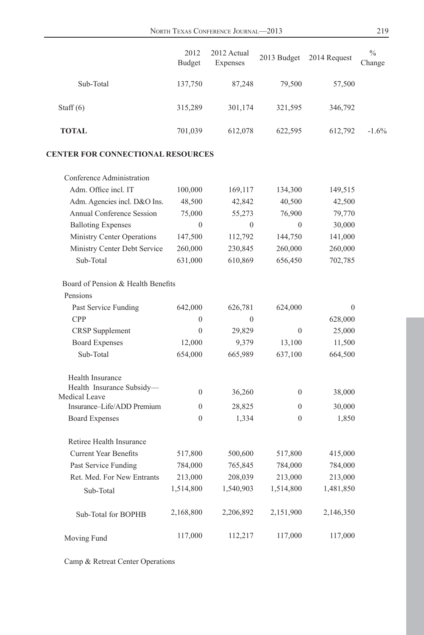|                                             | 2012<br>Budget | 2012 Actual<br>Expenses | 2013 Budget    | 2014 Request | $\%$<br>Change |
|---------------------------------------------|----------------|-------------------------|----------------|--------------|----------------|
| Sub-Total                                   | 137,750        | 87,248                  | 79,500         | 57,500       |                |
| Staff $(6)$                                 | 315,289        | 301,174                 | 321,595        | 346,792      |                |
| <b>TOTAL</b>                                | 701,039        | 612,078                 | 622,595        | 612,792      | $-1.6%$        |
| <b>CENTER FOR CONNECTIONAL RESOURCES</b>    |                |                         |                |              |                |
| Conference Administration                   |                |                         |                |              |                |
| Adm. Office incl. IT                        | 100,000        | 169,117                 | 134,300        | 149,515      |                |
| Adm. Agencies incl. D&O Ins.                | 48,500         | 42,842                  | 40,500         | 42,500       |                |
| Annual Conference Session                   | 75,000         | 55,273                  | 76,900         | 79,770       |                |
| <b>Balloting Expenses</b>                   | $\theta$       | $\theta$                | $\overline{0}$ | 30,000       |                |
| Ministry Center Operations                  | 147,500        | 112,792                 | 144,750        | 141,000      |                |
| Ministry Center Debt Service                | 260,000        | 230,845                 | 260,000        | 260,000      |                |
| Sub-Total                                   | 631,000        | 610,869                 | 656,450        | 702,785      |                |
| Board of Pension & Health Benefits          |                |                         |                |              |                |
| Pensions                                    |                |                         |                |              |                |
| Past Service Funding                        | 642,000        | 626,781                 | 624,000        | $\mathbf{0}$ |                |
| <b>CPP</b>                                  | $\Omega$       | 0                       |                | 628,000      |                |
| <b>CRSP</b> Supplement                      | $\mathbf{0}$   | 29,829                  | $\mathbf{0}$   | 25,000       |                |
| <b>Board Expenses</b>                       | 12,000         | 9,379                   | 13,100         | 11,500       |                |
| Sub-Total                                   | 654,000        | 665,989                 | 637,100        | 664,500      |                |
| Health Insurance                            |                |                         |                |              |                |
| Health Insurance Subsidy-                   | $\mathbf{0}$   | 36,260                  | $\overline{0}$ | 38,000       |                |
| Medical Leave<br>Insurance-Life/ADD Premium | $\theta$       | 28,825                  | $\Omega$       | 30,000       |                |
| <b>Board Expenses</b>                       | $\theta$       | 1,334                   | $\theta$       | 1,850        |                |
| Retiree Health Insurance                    |                |                         |                |              |                |
| <b>Current Year Benefits</b>                | 517,800        | 500,600                 | 517,800        | 415,000      |                |
| Past Service Funding                        | 784,000        | 765,845                 | 784,000        | 784,000      |                |
| Ret. Med. For New Entrants                  | 213,000        | 208,039                 | 213,000        | 213,000      |                |
| Sub-Total                                   | 1,514,800      | 1,540,903               | 1,514,800      | 1,481,850    |                |
| Sub-Total for BOPHB                         | 2,168,800      | 2,206,892               | 2,151,900      | 2,146,350    |                |
| Moving Fund                                 | 117,000        | 112,217                 | 117,000        | 117,000      |                |

Camp & Retreat Center Operations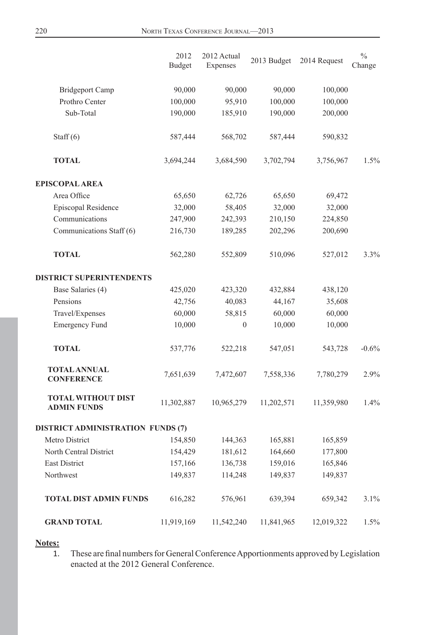|                                                 | 2012<br><b>Budget</b> | 2012 Actual<br>Expenses | 2013 Budget | 2014 Request | $\frac{0}{0}$<br>Change |
|-------------------------------------------------|-----------------------|-------------------------|-------------|--------------|-------------------------|
| <b>Bridgeport Camp</b>                          | 90,000                | 90,000                  | 90,000      | 100,000      |                         |
| Prothro Center                                  | 100,000               | 95,910                  | 100,000     | 100,000      |                         |
| Sub-Total                                       | 190,000               | 185,910                 | 190,000     | 200,000      |                         |
| Staff $(6)$                                     | 587,444               | 568,702                 | 587,444     | 590,832      |                         |
| <b>TOTAL</b>                                    | 3,694,244             | 3,684,590               | 3,702,794   | 3,756,967    | 1.5%                    |
| <b>EPISCOPAL AREA</b>                           |                       |                         |             |              |                         |
| Area Office                                     | 65,650                | 62,726                  | 65,650      | 69,472       |                         |
| Episcopal Residence                             | 32,000                | 58,405                  | 32,000      | 32,000       |                         |
| Communications                                  | 247,900               | 242,393                 | 210,150     | 224,850      |                         |
| Communications Staff (6)                        | 216,730               | 189,285                 | 202,296     | 200,690      |                         |
| <b>TOTAL</b>                                    | 562,280               | 552,809                 | 510,096     | 527,012      | 3.3%                    |
| <b>DISTRICT SUPERINTENDENTS</b>                 |                       |                         |             |              |                         |
| Base Salaries (4)                               | 425,020               | 423,320                 | 432,884     | 438,120      |                         |
| Pensions                                        | 42,756                | 40,083                  | 44,167      | 35,608       |                         |
| Travel/Expenses                                 | 60,000                | 58,815                  | 60,000      | 60,000       |                         |
| Emergency Fund                                  | 10,000                | $\mathbf{0}$            | 10,000      | 10,000       |                         |
| <b>TOTAL</b>                                    | 537,776               | 522,218                 | 547,051     | 543,728      | $-0.6%$                 |
| <b>TOTAL ANNUAL</b><br><b>CONFERENCE</b>        | 7,651,639             | 7,472,607               | 7,558,336   | 7,780,279    | 2.9%                    |
| <b>TOTAL WITHOUT DIST</b><br><b>ADMIN FUNDS</b> | 11,302,887            | 10,965,279              | 11,202,571  | 11,359,980   | 1.4%                    |
| <b>DISTRICT ADMINISTRATION FUNDS (7)</b>        |                       |                         |             |              |                         |
| Metro District                                  | 154,850               | 144,363                 | 165,881     | 165,859      |                         |
| North Central District                          | 154,429               | 181,612                 | 164,660     | 177,800      |                         |
| <b>East District</b>                            | 157,166               | 136,738                 | 159,016     | 165,846      |                         |
| Northwest                                       | 149,837               | 114,248                 | 149,837     | 149,837      |                         |
| <b>TOTAL DIST ADMIN FUNDS</b>                   | 616,282               | 576,961                 | 639,394     | 659,342      | 3.1%                    |
| <b>GRAND TOTAL</b>                              | 11,919,169            | 11,542,240              | 11,841,965  | 12,019,322   | 1.5%                    |

**Notes:**

1. These are final numbers for General Conference Apportionments approved by Legislation enacted at the 2012 General Conference.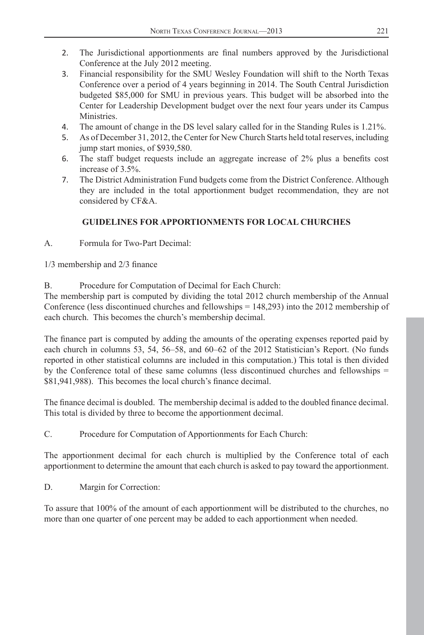- 2. The Jurisdictional apportionments are final numbers approved by the Jurisdictional Conference at the July 2012 meeting.
- 3. Financial responsibility for the SMU Wesley Foundation will shift to the North Texas Conference over a period of 4 years beginning in 2014. The South Central Jurisdiction budgeted \$85,000 for SMU in previous years. This budget will be absorbed into the Center for Leadership Development budget over the next four years under its Campus Ministries.
- 4. The amount of change in the DS level salary called for in the Standing Rules is 1.21%.
- 5. As of December 31, 2012, the Center for New Church Starts held total reserves, including jump start monies, of \$939,580.
- 6. The staff budget requests include an aggregate increase of  $2\%$  plus a benefits cost increase of 3.5%.
- 7. The District Administration Fund budgets come from the District Conference. Although they are included in the total apportionment budget recommendation, they are not considered by CF&A.

# **GUIDELINES FOR APPORTIONMENTS FOR LOCAL CHURCHES**

A. Formula for Two-Part Decimal:

 $1/3$  membership and  $2/3$  finance

B. Procedure for Computation of Decimal for Each Church:

The membership part is computed by dividing the total 2012 church membership of the Annual Conference (less discontinued churches and fellowships = 148,293) into the 2012 membership of each church. This becomes the church's membership decimal.

The finance part is computed by adding the amounts of the operating expenses reported paid by each church in columns 53, 54, 56–58, and 60–62 of the 2012 Statistician's Report. (No funds reported in other statistical columns are included in this computation.) This total is then divided by the Conference total of these same columns (less discontinued churches and fellowships = \$81,941,988). This becomes the local church's finance decimal.

The finance decimal is doubled. The membership decimal is added to the doubled finance decimal. This total is divided by three to become the apportionment decimal.

C. Procedure for Computation of Apportionments for Each Church:

The apportionment decimal for each church is multiplied by the Conference total of each apportionment to determine the amount that each church is asked to pay toward the apportionment.

D. Margin for Correction:

To assure that 100% of the amount of each apportionment will be distributed to the churches, no more than one quarter of one percent may be added to each apportionment when needed.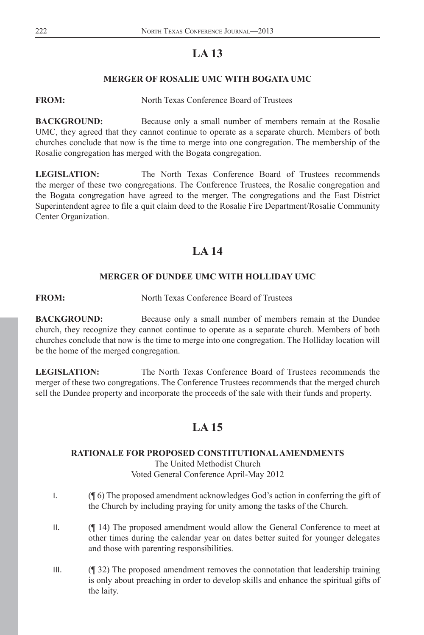# **LA 13**

# **MERGER OF ROSALIE UMC WITH BOGATA UMC**

### <span id="page-26-0"></span>**FROM:** North Texas Conference Board of Trustees

**BACKGROUND:** Because only a small number of members remain at the Rosalie UMC, they agreed that they cannot continue to operate as a separate church. Members of both churches conclude that now is the time to merge into one congregation. The membership of the Rosalie congregation has merged with the Bogata congregation.

**LEGISLATION:** The North Texas Conference Board of Trustees recommends the merger of these two congregations. The Conference Trustees, the Rosalie congregation and the Bogata congregation have agreed to the merger. The congregations and the East District Superintendent agree to file a quit claim deed to the Rosalie Fire Department/Rosalie Community Center Organization.

# **LA 14**

## **MERGER OF DUNDEE UMC WITH HOLLIDAY UMC**

**FROM:** North Texas Conference Board of Trustees

**BACKGROUND:** Because only a small number of members remain at the Dundee church, they recognize they cannot continue to operate as a separate church. Members of both churches conclude that now is the time to merge into one congregation. The Holliday location will be the home of the merged congregation.

**LEGISLATION:** The North Texas Conference Board of Trustees recommends the merger of these two congregations. The Conference Trustees recommends that the merged church sell the Dundee property and incorporate the proceeds of the sale with their funds and property.

# **LA 15**

## **RATIONALE FOR PROPOSED CONSTITUTIONAL AMENDMENTS**

The United Methodist Church Voted General Conference April-May 2012

- I. (¶ 6) The proposed amendment acknowledges God's action in conferring the gift of the Church by including praying for unity among the tasks of the Church.
- II. (¶ 14) The proposed amendment would allow the General Conference to meet at other times during the calendar year on dates better suited for younger delegates and those with parenting responsibilities.
- III. (¶ 32) The proposed amendment removes the connotation that leadership training is only about preaching in order to develop skills and enhance the spiritual gifts of the laity.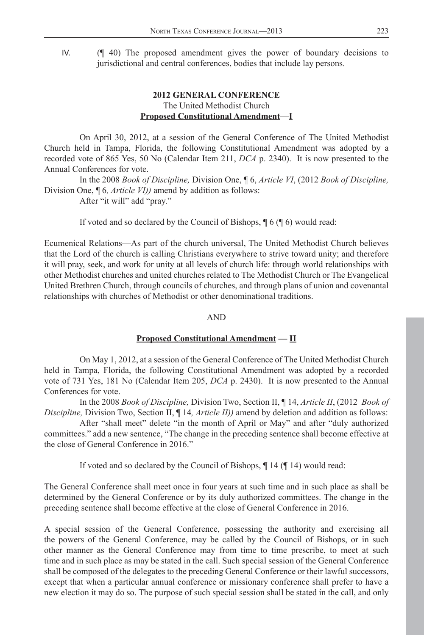IV. (¶ 40) The proposed amendment gives the power of boundary decisions to jurisdictional and central conferences, bodies that include lay persons.

## **2012 GENERAL CONFERENCE** The United Methodist Church **Proposed Constitutional Amendment—I**

 On April 30, 2012, at a session of the General Conference of The United Methodist Church held in Tampa, Florida, the following Constitutional Amendment was adopted by a recorded vote of 865 Yes, 50 No (Calendar Item 211, *DCA* p. 2340). It is now presented to the Annual Conferences for vote.

 In the 2008 *Book of Discipline,* Division One, ¶ 6, *Article VI*, (2012 *Book of Discipline,*  Division One, ¶ 6*, Article VI))* amend by addition as follows:

After "it will" add "pray."

If voted and so declared by the Council of Bishops, ¶ 6 (¶ 6) would read:

Ecumenical Relations—As part of the church universal, The United Methodist Church believes that the Lord of the church is calling Christians everywhere to strive toward unity; and therefore it will pray, seek, and work for unity at all levels of church life: through world relationships with other Methodist churches and united churches related to The Methodist Church or The Evangelical United Brethren Church, through councils of churches, and through plans of union and covenantal relationships with churches of Methodist or other denominational traditions.

#### AND

#### **Proposed Constitutional Amendment — II**

 On May 1, 2012, at a session of the General Conference of The United Methodist Church held in Tampa, Florida, the following Constitutional Amendment was adopted by a recorded vote of 731 Yes, 181 No (Calendar Item 205, *DCA* p. 2430). It is now presented to the Annual Conferences for vote.

 In the 2008 *Book of Discipline,* Division Two, Section II, ¶ 14, *Article II*, (2012 *Book of Discipline,* Division Two, Section II, ¶ 14*, Article II))* amend by deletion and addition as follows:

 After "shall meet" delete "in the month of April or May" and after "duly authorized committees." add a new sentence, "The change in the preceding sentence shall become effective at the close of General Conference in 2016."

If voted and so declared by the Council of Bishops, ¶ 14 (¶ 14) would read:

The General Conference shall meet once in four years at such time and in such place as shall be determined by the General Conference or by its duly authorized committees. The change in the preceding sentence shall become effective at the close of General Conference in 2016.

A special session of the General Conference, possessing the authority and exercising all the powers of the General Conference, may be called by the Council of Bishops, or in such other manner as the General Conference may from time to time prescribe, to meet at such time and in such place as may be stated in the call. Such special session of the General Conference shall be composed of the delegates to the preceding General Conference or their lawful successors, except that when a particular annual conference or missionary conference shall prefer to have a new election it may do so. The purpose of such special session shall be stated in the call, and only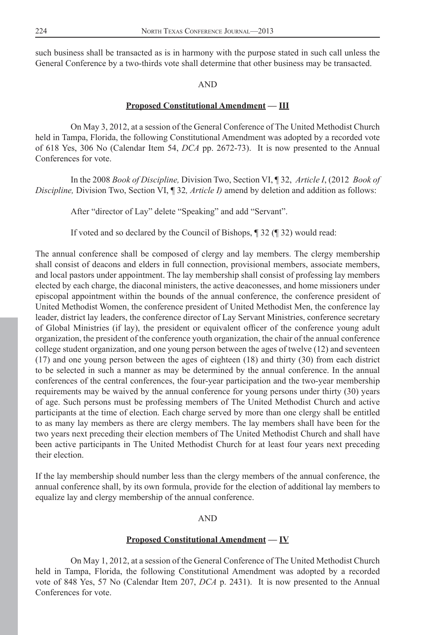such business shall be transacted as is in harmony with the purpose stated in such call unless the General Conference by a two-thirds vote shall determine that other business may be transacted.

#### AND

#### **Proposed Constitutional Amendment — III**

 On May 3, 2012, at a session of the General Conference of The United Methodist Church held in Tampa, Florida, the following Constitutional Amendment was adopted by a recorded vote of 618 Yes, 306 No (Calendar Item 54, *DCA* pp. 2672-73). It is now presented to the Annual Conferences for vote.

 In the 2008 *Book of Discipline,* Division Two, Section VI, ¶ 32, *Article I*, (2012 *Book of Discipline,* Division Two, Section VI, ¶ 32*, Article I)* amend by deletion and addition as follows:

After "director of Lay" delete "Speaking" and add "Servant".

If voted and so declared by the Council of Bishops, ¶ 32 (¶ 32) would read:

The annual conference shall be composed of clergy and lay members. The clergy membership shall consist of deacons and elders in full connection, provisional members, associate members, and local pastors under appointment. The lay membership shall consist of professing lay members elected by each charge, the diaconal ministers, the active deaconesses, and home missioners under episcopal appointment within the bounds of the annual conference, the conference president of United Methodist Women, the conference president of United Methodist Men, the conference lay leader, district lay leaders, the conference director of Lay Servant Ministries, conference secretary of Global Ministries (if lay), the president or equivalent officer of the conference young adult organization, the president of the conference youth organization, the chair of the annual conference college student organization, and one young person between the ages of twelve (12) and seventeen (17) and one young person between the ages of eighteen (18) and thirty (30) from each district to be selected in such a manner as may be determined by the annual conference. In the annual conferences of the central conferences, the four-year participation and the two-year membership requirements may be waived by the annual conference for young persons under thirty (30) years of age. Such persons must be professing members of The United Methodist Church and active participants at the time of election. Each charge served by more than one clergy shall be entitled to as many lay members as there are clergy members. The lay members shall have been for the two years next preceding their election members of The United Methodist Church and shall have been active participants in The United Methodist Church for at least four years next preceding their election.

If the lay membership should number less than the clergy members of the annual conference, the annual conference shall, by its own formula, provide for the election of additional lay members to equalize lay and clergy membership of the annual conference.

#### AND

#### **Proposed Constitutional Amendment — IV**

 On May 1, 2012, at a session of the General Conference of The United Methodist Church held in Tampa, Florida, the following Constitutional Amendment was adopted by a recorded vote of 848 Yes, 57 No (Calendar Item 207, *DCA* p. 2431). It is now presented to the Annual Conferences for vote.